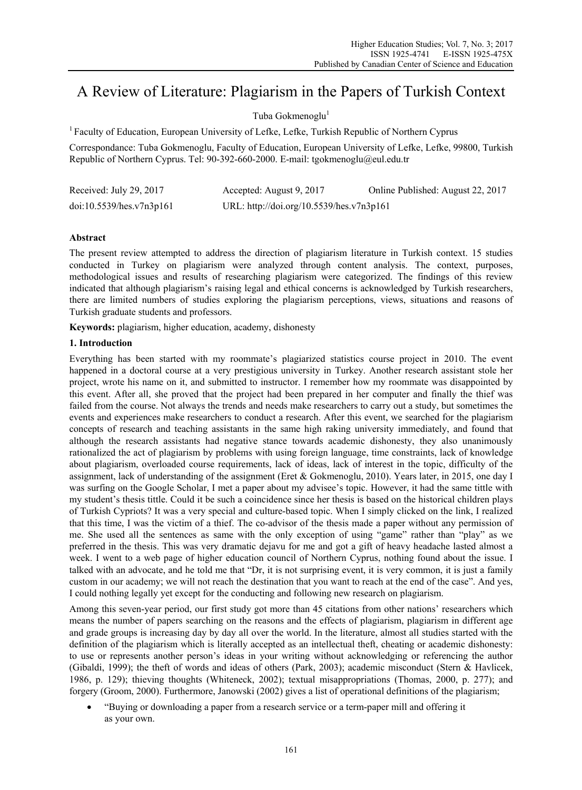# A Review of Literature: Plagiarism in the Papers of Turkish Context

Tuba Gokmenoglu<sup>1</sup>

 $<sup>1</sup>$  Faculty of Education, European University of Lefke, Lefke, Turkish Republic of Northern Cyprus</sup>

Correspondance: Tuba Gokmenoglu, Faculty of Education, European University of Lefke, Lefke, 99800, Turkish Republic of Northern Cyprus. Tel: 90-392-660-2000. E-mail: tgokmenoglu@eul.edu.tr

| Received: July 29, 2017  | Accepted: August 9, 2017                 | Online Published: August 22, 2017 |
|--------------------------|------------------------------------------|-----------------------------------|
| doi:10.5539/hes.v7n3p161 | URL: http://doi.org/10.5539/hes.v7n3p161 |                                   |

## **Abstract**

The present review attempted to address the direction of plagiarism literature in Turkish context. 15 studies conducted in Turkey on plagiarism were analyzed through content analysis. The context, purposes, methodological issues and results of researching plagiarism were categorized. The findings of this review indicated that although plagiarism's raising legal and ethical concerns is acknowledged by Turkish researchers, there are limited numbers of studies exploring the plagiarism perceptions, views, situations and reasons of Turkish graduate students and professors.

**Keywords:** plagiarism, higher education, academy, dishonesty

## **1. Introduction**

Everything has been started with my roommate's plagiarized statistics course project in 2010. The event happened in a doctoral course at a very prestigious university in Turkey. Another research assistant stole her project, wrote his name on it, and submitted to instructor. I remember how my roommate was disappointed by this event. After all, she proved that the project had been prepared in her computer and finally the thief was failed from the course. Not always the trends and needs make researchers to carry out a study, but sometimes the events and experiences make researchers to conduct a research. After this event, we searched for the plagiarism concepts of research and teaching assistants in the same high raking university immediately, and found that although the research assistants had negative stance towards academic dishonesty, they also unanimously rationalized the act of plagiarism by problems with using foreign language, time constraints, lack of knowledge about plagiarism, overloaded course requirements, lack of ideas, lack of interest in the topic, difficulty of the assignment, lack of understanding of the assignment (Eret & Gokmenoglu, 2010). Years later, in 2015, one day I was surfing on the Google Scholar, I met a paper about my advisee's topic. However, it had the same tittle with my student's thesis tittle. Could it be such a coincidence since her thesis is based on the historical children plays of Turkish Cypriots? It was a very special and culture-based topic. When I simply clicked on the link, I realized that this time, I was the victim of a thief. The co-advisor of the thesis made a paper without any permission of me. She used all the sentences as same with the only exception of using "game" rather than "play" as we preferred in the thesis. This was very dramatic dejavu for me and got a gift of heavy headache lasted almost a week. I went to a web page of higher education council of Northern Cyprus, nothing found about the issue. I talked with an advocate, and he told me that "Dr, it is not surprising event, it is very common, it is just a family custom in our academy; we will not reach the destination that you want to reach at the end of the case". And yes, I could nothing legally yet except for the conducting and following new research on plagiarism.

Among this seven-year period, our first study got more than 45 citations from other nations' researchers which means the number of papers searching on the reasons and the effects of plagiarism, plagiarism in different age and grade groups is increasing day by day all over the world. In the literature, almost all studies started with the definition of the plagiarism which is literally accepted as an intellectual theft, cheating or academic dishonesty: to use or represents another person's ideas in your writing without acknowledging or referencing the author (Gibaldi, 1999); the theft of words and ideas of others (Park, 2003); academic misconduct (Stern & Havlicek, 1986, p. 129); thieving thoughts (Whiteneck, 2002); textual misappropriations (Thomas, 2000, p. 277); and forgery (Groom, 2000). Furthermore, Janowski (2002) gives a list of operational definitions of the plagiarism;

 "Buying or downloading a paper from a research service or a term-paper mill and offering it as your own.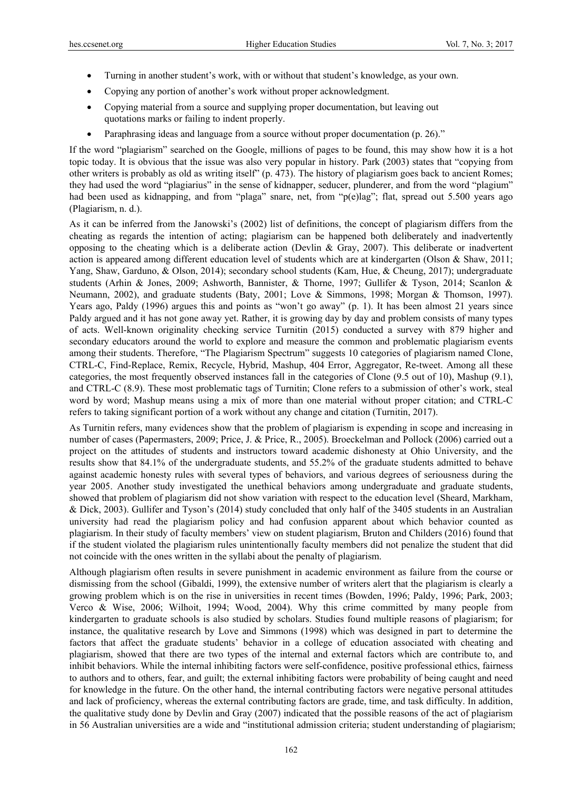- Turning in another student's work, with or without that student's knowledge, as your own.
- Copying any portion of another's work without proper acknowledgment.
- Copying material from a source and supplying proper documentation, but leaving out quotations marks or failing to indent properly.
- Paraphrasing ideas and language from a source without proper documentation (p. 26)."

If the word "plagiarism" searched on the Google, millions of pages to be found, this may show how it is a hot topic today. It is obvious that the issue was also very popular in history. Park (2003) states that "copying from other writers is probably as old as writing itself" (p. 473). The history of plagiarism goes back to ancient Romes; they had used the word "plagiarius" in the sense of kidnapper, seducer, plunderer, and from the word "plagium" had been used as kidnapping, and from "plaga" snare, net, from "p(e)lag"; flat, spread out 5.500 years ago (Plagiarism, n. d.).

As it can be inferred from the Janowski's (2002) list of definitions, the concept of plagiarism differs from the cheating as regards the intention of acting; plagiarism can be happened both deliberately and inadvertently opposing to the cheating which is a deliberate action (Devlin & Gray, 2007). This deliberate or inadvertent action is appeared among different education level of students which are at kindergarten (Olson & Shaw, 2011; Yang, Shaw, Garduno, & Olson, 2014); secondary school students (Kam, Hue, & Cheung, 2017); undergraduate students (Arhin & Jones, 2009; Ashworth, Bannister, & Thorne, 1997; Gullifer & Tyson, 2014; Scanlon & Neumann, 2002), and graduate students (Baty, 2001; Love & Simmons, 1998; Morgan & Thomson, 1997). Years ago, Paldy (1996) argues this and points as "won't go away" (p. 1). It has been almost 21 years since Paldy argued and it has not gone away yet. Rather, it is growing day by day and problem consists of many types of acts. Well-known originality checking service Turnitin (2015) conducted a survey with 879 higher and secondary educators around the world to explore and measure the common and problematic plagiarism events among their students. Therefore, "The Plagiarism Spectrum" suggests 10 categories of plagiarism named Clone, CTRL-C, Find-Replace, Remix, Recycle, Hybrid, Mashup, 404 Error, Aggregator, Re-tweet. Among all these categories, the most frequently observed instances fall in the categories of Clone (9.5 out of 10), Mashup (9.1), and CTRL-C (8.9). These most problematic tags of Turnitin; Clone refers to a submission of other's work, steal word by word; Mashup means using a mix of more than one material without proper citation; and CTRL-C refers to taking significant portion of a work without any change and citation (Turnitin, 2017).

As Turnitin refers, many evidences show that the problem of plagiarism is expending in scope and increasing in number of cases (Papermasters, 2009; Price, J. & Price, R., 2005). Broeckelman and Pollock (2006) carried out a project on the attitudes of students and instructors toward academic dishonesty at Ohio University, and the results show that 84.1% of the undergraduate students, and 55.2% of the graduate students admitted to behave against academic honesty rules with several types of behaviors, and various degrees of seriousness during the year 2005. Another study investigated the unethical behaviors among undergraduate and graduate students, showed that problem of plagiarism did not show variation with respect to the education level (Sheard, Markham, & Dick, 2003). Gullifer and Tyson's (2014) study concluded that only half of the 3405 students in an Australian university had read the plagiarism policy and had confusion apparent about which behavior counted as plagiarism. In their study of faculty members' view on student plagiarism, Bruton and Childers (2016) found that if the student violated the plagiarism rules unintentionally faculty members did not penalize the student that did not coincide with the ones written in the syllabi about the penalty of plagiarism.

Although plagiarism often results in severe punishment in academic environment as failure from the course or dismissing from the school (Gibaldi, 1999), the extensive number of writers alert that the plagiarism is clearly a growing problem which is on the rise in universities in recent times (Bowden, 1996; Paldy, 1996; Park, 2003; Verco & Wise, 2006; Wilhoit, 1994; Wood, 2004). Why this crime committed by many people from kindergarten to graduate schools is also studied by scholars. Studies found multiple reasons of plagiarism; for instance, the qualitative research by Love and Simmons (1998) which was designed in part to determine the factors that affect the graduate students' behavior in a college of education associated with cheating and plagiarism, showed that there are two types of the internal and external factors which are contribute to, and inhibit behaviors. While the internal inhibiting factors were self-confidence, positive professional ethics, fairness to authors and to others, fear, and guilt; the external inhibiting factors were probability of being caught and need for knowledge in the future. On the other hand, the internal contributing factors were negative personal attitudes and lack of proficiency, whereas the external contributing factors are grade, time, and task difficulty. In addition, the qualitative study done by Devlin and Gray (2007) indicated that the possible reasons of the act of plagiarism in 56 Australian universities are a wide and "institutional admission criteria; student understanding of plagiarism;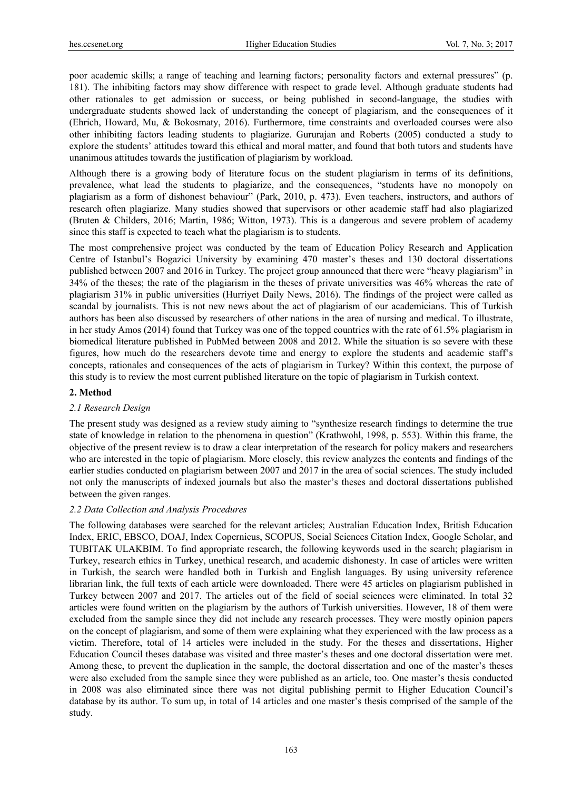poor academic skills; a range of teaching and learning factors; personality factors and external pressures" (p. 181). The inhibiting factors may show difference with respect to grade level. Although graduate students had other rationales to get admission or success, or being published in second-language, the studies with undergraduate students showed lack of understanding the concept of plagiarism, and the consequences of it (Ehrich, Howard, Mu, & Bokosmaty, 2016). Furthermore, time constraints and overloaded courses were also other inhibiting factors leading students to plagiarize. Gururajan and Roberts (2005) conducted a study to explore the students' attitudes toward this ethical and moral matter, and found that both tutors and students have unanimous attitudes towards the justification of plagiarism by workload.

Although there is a growing body of literature focus on the student plagiarism in terms of its definitions, prevalence, what lead the students to plagiarize, and the consequences, "students have no monopoly on plagiarism as a form of dishonest behaviour" (Park, 2010, p. 473). Even teachers, instructors, and authors of research often plagiarize. Many studies showed that supervisors or other academic staff had also plagiarized (Bruten & Childers, 2016; Martin, 1986; Witton, 1973). This is a dangerous and severe problem of academy since this staff is expected to teach what the plagiarism is to students.

The most comprehensive project was conducted by the team of Education Policy Research and Application Centre of Istanbul's Bogazici University by examining 470 master's theses and 130 doctoral dissertations published between 2007 and 2016 in Turkey. The project group announced that there were "heavy plagiarism" in 34% of the theses; the rate of the plagiarism in the theses of private universities was 46% whereas the rate of plagiarism 31% in public universities (Hurriyet Daily News, 2016). The findings of the project were called as scandal by journalists. This is not new news about the act of plagiarism of our academicians. This of Turkish authors has been also discussed by researchers of other nations in the area of nursing and medical. To illustrate, in her study Amos (2014) found that Turkey was one of the topped countries with the rate of 61.5% plagiarism in biomedical literature published in PubMed between 2008 and 2012. While the situation is so severe with these figures, how much do the researchers devote time and energy to explore the students and academic staff's concepts, rationales and consequences of the acts of plagiarism in Turkey? Within this context, the purpose of this study is to review the most current published literature on the topic of plagiarism in Turkish context.

#### **2. Method**

#### *2.1 Research Design*

The present study was designed as a review study aiming to "synthesize research findings to determine the true state of knowledge in relation to the phenomena in question" (Krathwohl, 1998, p. 553). Within this frame, the objective of the present review is to draw a clear interpretation of the research for policy makers and researchers who are interested in the topic of plagiarism. More closely, this review analyzes the contents and findings of the earlier studies conducted on plagiarism between 2007 and 2017 in the area of social sciences. The study included not only the manuscripts of indexed journals but also the master's theses and doctoral dissertations published between the given ranges.

#### *2.2 Data Collection and Analysis Procedures*

The following databases were searched for the relevant articles; Australian Education Index, British Education Index, ERIC, EBSCO, DOAJ, Index Copernicus, SCOPUS, Social Sciences Citation Index, Google Scholar, and TUBITAK ULAKBIM. To find appropriate research, the following keywords used in the search; plagiarism in Turkey, research ethics in Turkey, unethical research, and academic dishonesty. In case of articles were written in Turkish, the search were handled both in Turkish and English languages. By using university reference librarian link, the full texts of each article were downloaded. There were 45 articles on plagiarism published in Turkey between 2007 and 2017. The articles out of the field of social sciences were eliminated. In total 32 articles were found written on the plagiarism by the authors of Turkish universities. However, 18 of them were excluded from the sample since they did not include any research processes. They were mostly opinion papers on the concept of plagiarism, and some of them were explaining what they experienced with the law process as a victim. Therefore, total of 14 articles were included in the study. For the theses and dissertations, Higher Education Council theses database was visited and three master's theses and one doctoral dissertation were met. Among these, to prevent the duplication in the sample, the doctoral dissertation and one of the master's theses were also excluded from the sample since they were published as an article, too. One master's thesis conducted in 2008 was also eliminated since there was not digital publishing permit to Higher Education Council's database by its author. To sum up, in total of 14 articles and one master's thesis comprised of the sample of the study.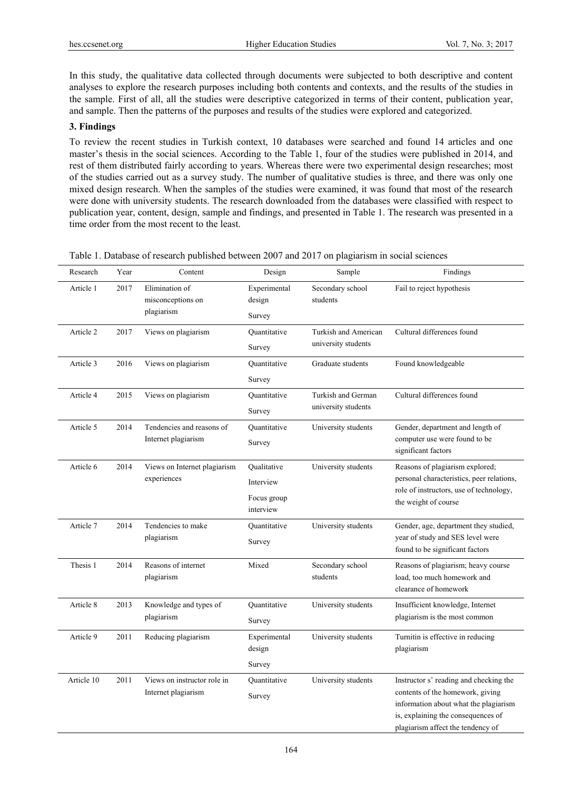In this study, the qualitative data collected through documents were subjected to both descriptive and content analyses to explore the research purposes including both contents and contexts, and the results of the studies in the sample. First of all, all the studies were descriptive categorized in terms of their content, publication year, and sample. Then the patterns of the purposes and results of the studies were explored and categorized.

### **3. Findings**

To review the recent studies in Turkish context, 10 databases were searched and found 14 articles and one master's thesis in the social sciences. According to the Table 1, four of the studies were published in 2014, and rest of them distributed fairly according to years. Whereas there were two experimental design researches; most of the studies carried out as a survey study. The number of qualitative studies is three, and there was only one mixed design research. When the samples of the studies were examined, it was found that most of the research were done with university students. The research downloaded from the databases were classified with respect to publication year, content, design, sample and findings, and presented in Table 1. The research was presented in a time order from the most recent to the least.

| Research          | Year | Content                                            | Design                 | Sample                       | Findings                                                                                                                                             |  |
|-------------------|------|----------------------------------------------------|------------------------|------------------------------|------------------------------------------------------------------------------------------------------------------------------------------------------|--|
| Article 1<br>2017 |      | Elimination of<br>misconceptions on                | Experimental<br>design | Secondary school<br>students | Fail to reject hypothesis                                                                                                                            |  |
|                   |      | plagiarism                                         | Survey                 |                              |                                                                                                                                                      |  |
| Article 2         | 2017 | Views on plagiarism                                | Quantitative           | Turkish and American         | Cultural differences found                                                                                                                           |  |
|                   |      |                                                    | Survey                 | university students          |                                                                                                                                                      |  |
| Article 3         | 2016 | Views on plagiarism                                | Ouantitative           | Graduate students            | Found knowledgeable                                                                                                                                  |  |
|                   |      |                                                    | Survey                 |                              |                                                                                                                                                      |  |
| Article 4         | 2015 | Views on plagiarism                                | Quantitative           | Turkish and German           | Cultural differences found                                                                                                                           |  |
|                   |      |                                                    | Survey                 | university students          |                                                                                                                                                      |  |
| Article 5         | 2014 | Tendencies and reasons of<br>Internet plagiarism   | Quantitative           | University students          | Gender, department and length of                                                                                                                     |  |
|                   |      |                                                    | Survey                 |                              | computer use were found to be<br>significant factors                                                                                                 |  |
| Article 6         | 2014 | Views on Internet plagiarism<br>experiences        | Oualitative            | University students          | Reasons of plagiarism explored;<br>personal characteristics, peer relations,<br>role of instructors, use of technology,                              |  |
|                   |      |                                                    | Interview              |                              |                                                                                                                                                      |  |
|                   |      | Focus group<br>interview                           |                        | the weight of course         |                                                                                                                                                      |  |
| Article 7         | 2014 | Tendencies to make<br>plagiarism                   | Quantitative           | University students          | Gender, age, department they studied,<br>year of study and SES level were<br>found to be significant factors                                         |  |
|                   |      |                                                    | Survey                 |                              |                                                                                                                                                      |  |
| Thesis 1          | 2014 | Reasons of internet<br>plagiarism                  | Mixed                  | Secondary school<br>students | Reasons of plagiarism; heavy course<br>load, too much homework and<br>clearance of homework                                                          |  |
| Article 8         | 2013 | Knowledge and types of<br>plagiarism               | Ouantitative           | University students          | Insufficient knowledge, Internet                                                                                                                     |  |
|                   |      |                                                    | Survey                 |                              | plagiarism is the most common                                                                                                                        |  |
| Article 9         | 2011 | Reducing plagiarism                                | Experimental<br>design | University students          | Turnitin is effective in reducing<br>plagiarism                                                                                                      |  |
|                   |      |                                                    | Survey                 |                              |                                                                                                                                                      |  |
| Article 10        | 2011 | Views on instructor role in<br>Internet plagiarism | Ouantitative           | University students          | Instructor s' reading and checking the                                                                                                               |  |
|                   |      |                                                    | Survey                 |                              | contents of the homework, giving<br>information about what the plagiarism<br>is, explaining the consequences of<br>plagiarism affect the tendency of |  |

|  |  |  | Table 1. Database of research published between 2007 and 2017 on plagiarism in social sciences |
|--|--|--|------------------------------------------------------------------------------------------------|
|  |  |  |                                                                                                |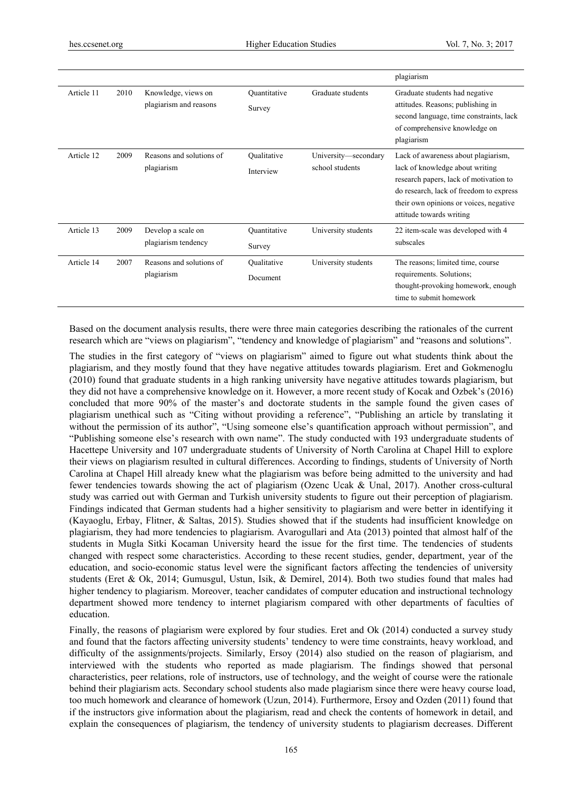|            |      |                                               |                          |                                         | plagiarism                                                                                                                                                                                                                        |
|------------|------|-----------------------------------------------|--------------------------|-----------------------------------------|-----------------------------------------------------------------------------------------------------------------------------------------------------------------------------------------------------------------------------------|
| Article 11 | 2010 | Knowledge, views on<br>plagiarism and reasons | Quantitative<br>Survey   | Graduate students                       | Graduate students had negative<br>attitudes. Reasons; publishing in<br>second language, time constraints, lack<br>of comprehensive knowledge on<br>plagiarism                                                                     |
| Article 12 | 2009 | Reasons and solutions of<br>plagiarism        | Oualitative<br>Interview | University-secondary<br>school students | Lack of awareness about plagiarism,<br>lack of knowledge about writing<br>research papers, lack of motivation to<br>do research, lack of freedom to express<br>their own opinions or voices, negative<br>attitude towards writing |
| Article 13 | 2009 | Develop a scale on<br>plagiarism tendency     | Quantitative<br>Survey   | University students                     | 22 item-scale was developed with 4<br>subscales                                                                                                                                                                                   |
| Article 14 | 2007 | Reasons and solutions of<br>plagiarism        | Oualitative<br>Document  | University students                     | The reasons; limited time, course<br>requirements. Solutions;<br>thought-provoking homework, enough<br>time to submit homework                                                                                                    |

Based on the document analysis results, there were three main categories describing the rationales of the current research which are "views on plagiarism", "tendency and knowledge of plagiarism" and "reasons and solutions".

The studies in the first category of "views on plagiarism" aimed to figure out what students think about the plagiarism, and they mostly found that they have negative attitudes towards plagiarism. Eret and Gokmenoglu (2010) found that graduate students in a high ranking university have negative attitudes towards plagiarism, but they did not have a comprehensive knowledge on it. However, a more recent study of Kocak and Ozbek's (2016) concluded that more 90% of the master's and doctorate students in the sample found the given cases of plagiarism unethical such as "Citing without providing a reference", "Publishing an article by translating it without the permission of its author", "Using someone else's quantification approach without permission", and "Publishing someone else's research with own name". The study conducted with 193 undergraduate students of Hacettepe University and 107 undergraduate students of University of North Carolina at Chapel Hill to explore their views on plagiarism resulted in cultural differences. According to findings, students of University of North Carolina at Chapel Hill already knew what the plagiarism was before being admitted to the university and had fewer tendencies towards showing the act of plagiarism (Ozenc Ucak & Unal, 2017). Another cross-cultural study was carried out with German and Turkish university students to figure out their perception of plagiarism. Findings indicated that German students had a higher sensitivity to plagiarism and were better in identifying it (Kayaoglu, Erbay, Flitner, & Saltas, 2015). Studies showed that if the students had insufficient knowledge on plagiarism, they had more tendencies to plagiarism. Avarogullari and Ata (2013) pointed that almost half of the students in Mugla Sitki Kocaman University heard the issue for the first time. The tendencies of students changed with respect some characteristics. According to these recent studies, gender, department, year of the education, and socio-economic status level were the significant factors affecting the tendencies of university students (Eret & Ok, 2014; Gumusgul, Ustun, Isik, & Demirel, 2014). Both two studies found that males had higher tendency to plagiarism. Moreover, teacher candidates of computer education and instructional technology department showed more tendency to internet plagiarism compared with other departments of faculties of education.

Finally, the reasons of plagiarism were explored by four studies. Eret and Ok (2014) conducted a survey study and found that the factors affecting university students' tendency to were time constraints, heavy workload, and difficulty of the assignments/projects. Similarly, Ersoy (2014) also studied on the reason of plagiarism, and interviewed with the students who reported as made plagiarism. The findings showed that personal characteristics, peer relations, role of instructors, use of technology, and the weight of course were the rationale behind their plagiarism acts. Secondary school students also made plagiarism since there were heavy course load, too much homework and clearance of homework (Uzun, 2014). Furthermore, Ersoy and Ozden (2011) found that if the instructors give information about the plagiarism, read and check the contents of homework in detail, and explain the consequences of plagiarism, the tendency of university students to plagiarism decreases. Different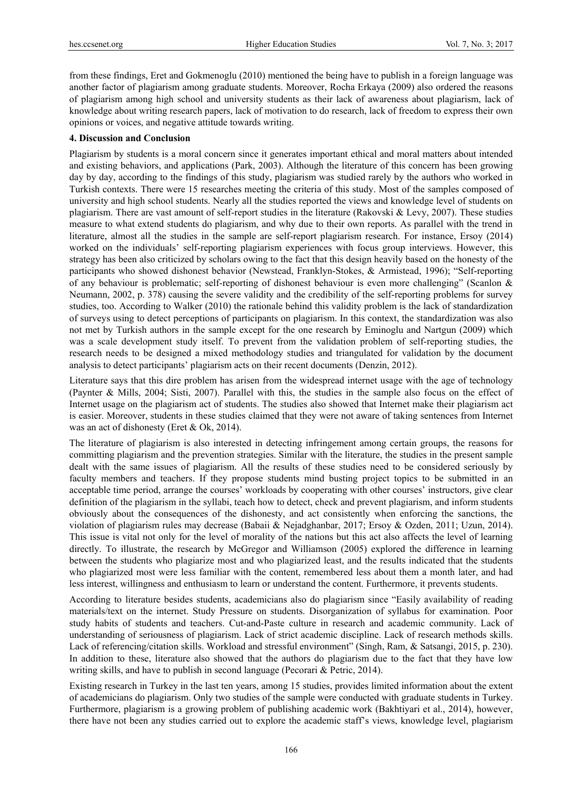from these findings, Eret and Gokmenoglu (2010) mentioned the being have to publish in a foreign language was another factor of plagiarism among graduate students. Moreover, Rocha Erkaya (2009) also ordered the reasons of plagiarism among high school and university students as their lack of awareness about plagiarism, lack of knowledge about writing research papers, lack of motivation to do research, lack of freedom to express their own opinions or voices, and negative attitude towards writing.

#### **4. Discussion and Conclusion**

Plagiarism by students is a moral concern since it generates important ethical and moral matters about intended and existing behaviors, and applications (Park, 2003). Although the literature of this concern has been growing day by day, according to the findings of this study, plagiarism was studied rarely by the authors who worked in Turkish contexts. There were 15 researches meeting the criteria of this study. Most of the samples composed of university and high school students. Nearly all the studies reported the views and knowledge level of students on plagiarism. There are vast amount of self-report studies in the literature (Rakovski & Levy, 2007). These studies measure to what extend students do plagiarism, and why due to their own reports. As parallel with the trend in literature, almost all the studies in the sample are self-report plagiarism research. For instance, Ersoy (2014) worked on the individuals' self-reporting plagiarism experiences with focus group interviews. However, this strategy has been also criticized by scholars owing to the fact that this design heavily based on the honesty of the participants who showed dishonest behavior (Newstead, Franklyn-Stokes, & Armistead, 1996); "Self-reporting of any behaviour is problematic; self-reporting of dishonest behaviour is even more challenging" (Scanlon & Neumann, 2002, p. 378) causing the severe validity and the credibility of the self-reporting problems for survey studies, too. According to Walker (2010) the rationale behind this validity problem is the lack of standardization of surveys using to detect perceptions of participants on plagiarism. In this context, the standardization was also not met by Turkish authors in the sample except for the one research by Eminoglu and Nartgun (2009) which was a scale development study itself. To prevent from the validation problem of self-reporting studies, the research needs to be designed a mixed methodology studies and triangulated for validation by the document analysis to detect participants' plagiarism acts on their recent documents (Denzin, 2012).

Literature says that this dire problem has arisen from the widespread internet usage with the age of technology (Paynter & Mills, 2004; Sisti, 2007). Parallel with this, the studies in the sample also focus on the effect of Internet usage on the plagiarism act of students. The studies also showed that Internet make their plagiarism act is easier. Moreover, students in these studies claimed that they were not aware of taking sentences from Internet was an act of dishonesty (Eret & Ok, 2014).

The literature of plagiarism is also interested in detecting infringement among certain groups, the reasons for committing plagiarism and the prevention strategies. Similar with the literature, the studies in the present sample dealt with the same issues of plagiarism. All the results of these studies need to be considered seriously by faculty members and teachers. If they propose students mind busting project topics to be submitted in an acceptable time period, arrange the courses' workloads by cooperating with other courses' instructors, give clear definition of the plagiarism in the syllabi, teach how to detect, check and prevent plagiarism, and inform students obviously about the consequences of the dishonesty, and act consistently when enforcing the sanctions, the violation of plagiarism rules may decrease (Babaii & Nejadghanbar, 2017; Ersoy & Ozden, 2011; Uzun, 2014). This issue is vital not only for the level of morality of the nations but this act also affects the level of learning directly. To illustrate, the research by McGregor and Williamson (2005) explored the difference in learning between the students who plagiarize most and who plagiarized least, and the results indicated that the students who plagiarized most were less familiar with the content, remembered less about them a month later, and had less interest, willingness and enthusiasm to learn or understand the content. Furthermore, it prevents students.

According to literature besides students, academicians also do plagiarism since "Easily availability of reading materials/text on the internet. Study Pressure on students. Disorganization of syllabus for examination. Poor study habits of students and teachers. Cut-and-Paste culture in research and academic community. Lack of understanding of seriousness of plagiarism. Lack of strict academic discipline. Lack of research methods skills. Lack of referencing/citation skills. Workload and stressful environment" (Singh, Ram, & Satsangi, 2015, p. 230). In addition to these, literature also showed that the authors do plagiarism due to the fact that they have low writing skills, and have to publish in second language (Pecorari & Petric, 2014).

Existing research in Turkey in the last ten years, among 15 studies, provides limited information about the extent of academicians do plagiarism. Only two studies of the sample were conducted with graduate students in Turkey. Furthermore, plagiarism is a growing problem of publishing academic work (Bakhtiyari et al., 2014), however, there have not been any studies carried out to explore the academic staff's views, knowledge level, plagiarism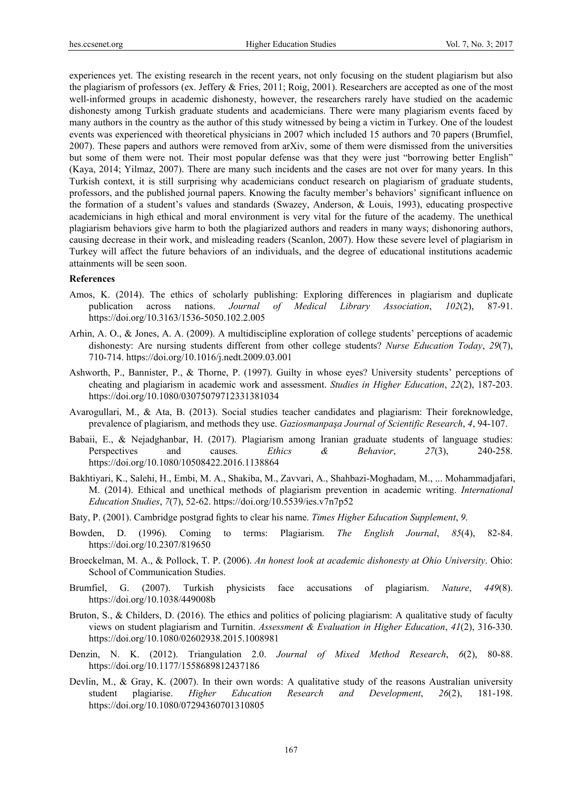experiences yet. The existing research in the recent years, not only focusing on the student plagiarism but also the plagiarism of professors (ex. Jeffery & Fries, 2011; Roig, 2001). Researchers are accepted as one of the most well-informed groups in academic dishonesty, however, the researchers rarely have studied on the academic dishonesty among Turkish graduate students and academicians. There were many plagiarism events faced by many authors in the country as the author of this study witnessed by being a victim in Turkey. One of the loudest events was experienced with theoretical physicians in 2007 which included 15 authors and 70 papers (Brumfiel, 2007). These papers and authors were removed from arXiv, some of them were dismissed from the universities but some of them were not. Their most popular defense was that they were just "borrowing better English" (Kaya, 2014; Yilmaz, 2007). There are many such incidents and the cases are not over for many years. In this Turkish context, it is still surprising why academicians conduct research on plagiarism of graduate students, professors, and the published journal papers. Knowing the faculty member's behaviors' significant influence on the formation of a student's values and standards (Swazey, Anderson, & Louis, 1993), educating prospective academicians in high ethical and moral environment is very vital for the future of the academy. The unethical plagiarism behaviors give harm to both the plagiarized authors and readers in many ways; dishonoring authors, causing decrease in their work, and misleading readers (Scanlon, 2007). How these severe level of plagiarism in Turkey will affect the future behaviors of an individuals, and the degree of educational institutions academic attainments will be seen soon.

#### **References**

- Amos, K. (2014). The ethics of scholarly publishing: Exploring differences in plagiarism and duplicate publication across nations. *Journal of Medical Library Association*, *102*(2), 87-91. https://doi.org/10.3163/1536-5050.102.2.005
- Arhin, A. O., & Jones, A. A. (2009). A multidiscipline exploration of college students' perceptions of academic dishonesty: Are nursing students different from other college students? *Nurse Education Today*, *29*(7), 710-714. https://doi.org/10.1016/j.nedt.2009.03.001
- Ashworth, P., Bannister, P., & Thorne, P. (1997). Guilty in whose eyes? University students' perceptions of cheating and plagiarism in academic work and assessment. *Studies in Higher Education*, *22*(2), 187-203. https://doi.org/10.1080/03075079712331381034
- Avarogullari, M., & Ata, B. (2013). Social studies teacher candidates and plagiarism: Their foreknowledge, prevalence of plagiarism, and methods they use. *Gaziosmanpaşa Journal of Scientific Research*, *4*, 94-107.
- Babaii, E., & Nejadghanbar, H. (2017). Plagiarism among Iranian graduate students of language studies: Perspectives and causes. *Ethics & Behavior*, *27*(3), 240-258. https://doi.org/10.1080/10508422.2016.1138864
- Bakhtiyari, K., Salehi, H., Embi, M. A., Shakiba, M., Zavvari, A., Shahbazi-Moghadam, M., ... Mohammadjafari, M. (2014). Ethical and unethical methods of plagiarism prevention in academic writing. *International Education Studies*, *7*(7), 52-62. https://doi.org/10.5539/ies.v7n7p52
- Baty, P. (2001). Cambridge postgrad fights to clear his name. *Times Higher Education Supplement*, *9*.
- Bowden, D. (1996). Coming to terms: Plagiarism. *The English Journal*, *85*(4), 82-84. https://doi.org/10.2307/819650
- Broeckelman, M. A., & Pollock, T. P. (2006). *An honest look at academic dishonesty at Ohio University*. Ohio: School of Communication Studies.
- Brumfiel, G. (2007). Turkish physicists face accusations of plagiarism. *Nature*, *449*(8). https://doi.org/10.1038/449008b
- Bruton, S., & Childers, D. (2016). The ethics and politics of policing plagiarism: A qualitative study of faculty views on student plagiarism and Turnitin. *Assessment & Evaluation in Higher Education*, *41*(2), 316-330. https://doi.org/10.1080/02602938.2015.1008981
- Denzin, N. K. (2012). Triangulation 2.0. *Journal of Mixed Method Research*, *6*(2), 80-88. https://doi.org/10.1177/1558689812437186
- Devlin, M., & Gray, K. (2007). In their own words: A qualitative study of the reasons Australian university student plagiarise. *Higher Education Research and Development*, *26*(2), 181-198. https://doi.org/10.1080/07294360701310805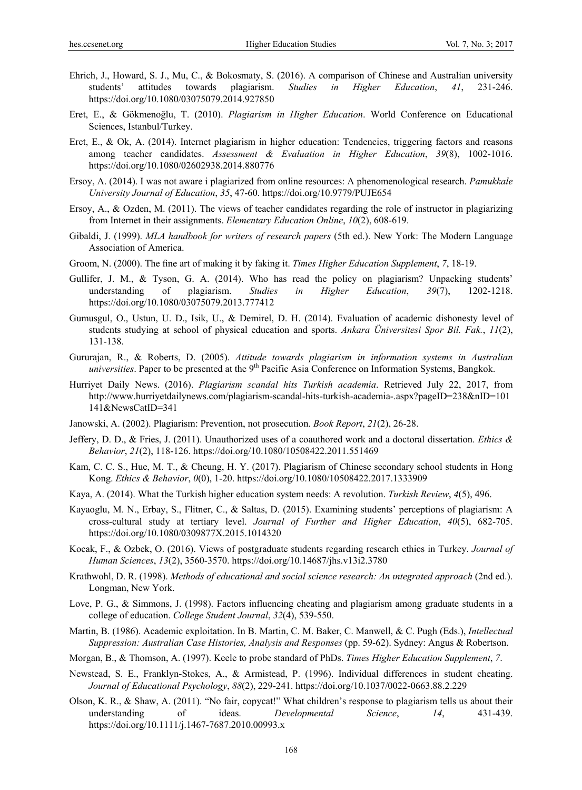- Ehrich, J., Howard, S. J., Mu, C., & Bokosmaty, S. (2016). A comparison of Chinese and Australian university students' attitudes towards plagiarism. *Studies in Higher Education*, *41*, 231-246. https://doi.org/10.1080/03075079.2014.927850
- Eret, E., & Gökmenoğlu, T. (2010). *Plagiarism in Higher Education*. World Conference on Educational Sciences, Istanbul/Turkey.
- Eret, E., & Ok, A. (2014). Internet plagiarism in higher education: Tendencies, triggering factors and reasons among teacher candidates. *Assessment & Evaluation in Higher Education*, *39*(8), 1002-1016. https://doi.org/10.1080/02602938.2014.880776
- Ersoy, A. (2014). I was not aware i plagiarized from online resources: A phenomenological research. *Pamukkale University Journal of Education*, *35*, 47-60. https://doi.org/10.9779/PUJE654
- Ersoy, A., & Ozden, M. (2011). The views of teacher candidates regarding the role of instructor in plagiarizing from Internet in their assignments. *Elementary Education Online*, *10*(2), 608-619.
- Gibaldi, J. (1999). *MLA handbook for writers of research papers* (5th ed.). New York: The Modern Language Association of America.
- Groom, N. (2000). The fine art of making it by faking it. *Times Higher Education Supplement*, *7*, 18-19.
- Gullifer, J. M., & Tyson, G. A. (2014). Who has read the policy on plagiarism? Unpacking students' understanding of plagiarism. *Studies in Higher Education*, *39*(7), 1202-1218. https://doi.org/10.1080/03075079.2013.777412
- Gumusgul, O., Ustun, U. D., Isik, U., & Demirel, D. H. (2014). Evaluation of academic dishonesty level of students studying at school of physical education and sports. *Ankara Üniversitesi Spor Bil. Fak.*, *11*(2), 131-138.
- Gururajan, R., & Roberts, D. (2005). *Attitude towards plagiarism in information systems in Australian universities*. Paper to be presented at the 9<sup>th</sup> Pacific Asia Conference on Information Systems, Bangkok.
- Hurriyet Daily News. (2016). *Plagiarism scandal hits Turkish academia*. Retrieved July 22, 2017, from http://www.hurriyetdailynews.com/plagiarism-scandal-hits-turkish-academia-.aspx?pageID=238&nID=101 141&NewsCatID=341
- Janowski, A. (2002). Plagiarism: Prevention, not prosecution. *Book Report*, *21*(2), 26-28.
- Jeffery, D. D., & Fries, J. (2011). Unauthorized uses of a coauthored work and a doctoral dissertation. *Ethics & Behavior*, *21*(2), 118-126. https://doi.org/10.1080/10508422.2011.551469
- Kam, C. C. S., Hue, M. T., & Cheung, H. Y. (2017). Plagiarism of Chinese secondary school students in Hong Kong. *Ethics & Behavior*, *0*(0), 1-20. https://doi.org/10.1080/10508422.2017.1333909
- Kaya, A. (2014). What the Turkish higher education system needs: A revolution. *Turkish Review*, *4*(5), 496.
- Kayaoglu, M. N., Erbay, S., Flitner, C., & Saltas, D. (2015). Examining students' perceptions of plagiarism: A cross-cultural study at tertiary level. *Journal of Further and Higher Education*, *40*(5), 682-705. https://doi.org/10.1080/0309877X.2015.1014320
- Kocak, F., & Ozbek, O. (2016). Views of postgraduate students regarding research ethics in Turkey. *Journal of Human Sciences*, *13*(2), 3560-3570. https://doi.org/10.14687/jhs.v13i2.3780
- Krathwohl, D. R. (1998). *Methods of educational and social science research: An ıntegrated approach* (2nd ed.). Longman, New York.
- Love, P. G., & Simmons, J. (1998). Factors influencing cheating and plagiarism among graduate students in a college of education. *College Student Journal*, *32*(4), 539-550.
- Martin, B. (1986). Academic exploitation. In B. Martin, C. M. Baker, C. Manwell, & C. Pugh (Eds.), *Intellectual Suppression: Australian Case Histories, Analysis and Responses* (pp. 59-62). Sydney: Angus & Robertson.
- Morgan, B., & Thomson, A. (1997). Keele to probe standard of PhDs. *Times Higher Education Supplement*, *7*.
- Newstead, S. E., Franklyn-Stokes, A., & Armistead, P. (1996). Individual differences in student cheating. *Journal of Educational Psychology*, *88*(2), 229-241. https://doi.org/10.1037/0022-0663.88.2.229
- Olson, K. R., & Shaw, A. (2011). "No fair, copycat!" What children's response to plagiarism tells us about their understanding of ideas. *Developmental Science*, *14*, 431-439. https://doi.org/10.1111/j.1467-7687.2010.00993.x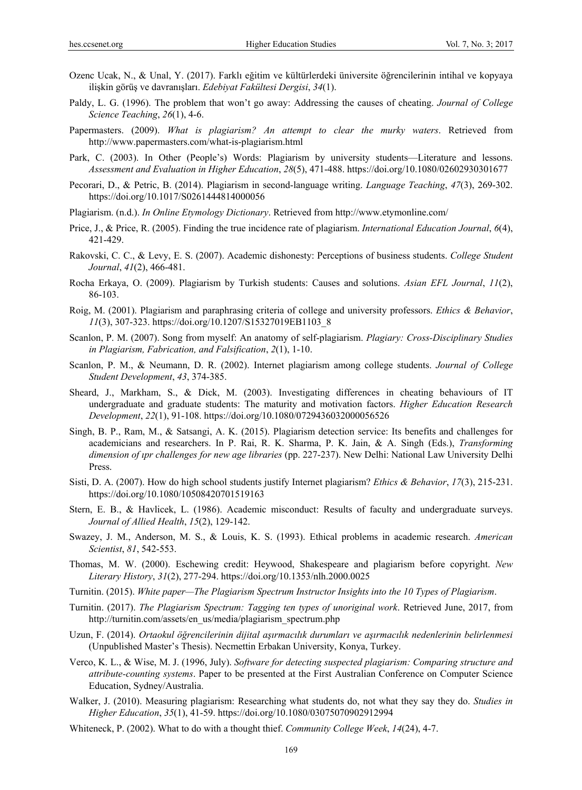- Ozenc Ucak, N., & Unal, Y. (2017). Farklı eğitim ve kültürlerdeki üniversite öğrencilerinin intihal ve kopyaya ilişkin görüş ve davranışları. *Edebiyat Fakültesi Dergisi*, *34*(1).
- Paldy, L. G. (1996). The problem that won't go away: Addressing the causes of cheating. *Journal of College Science Teaching*, *26*(1), 4-6.
- Papermasters. (2009). *What is plagiarism? An attempt to clear the murky waters*. Retrieved from http://www.papermasters.com/what-is-plagiarism.html
- Park, C. (2003). In Other (People's) Words: Plagiarism by university students—Literature and lessons. *Assessment and Evaluation in Higher Education*, *28*(5), 471-488. https://doi.org/10.1080/02602930301677
- Pecorari, D., & Petric, B. (2014). Plagiarism in second-language writing. *Language Teaching*, *47*(3), 269-302. https://doi.org/10.1017/S0261444814000056
- Plagiarism. (n.d.). *In Online Etymology Dictionary*. Retrieved from http://www.etymonline.com/
- Price, J., & Price, R. (2005). Finding the true incidence rate of plagiarism. *International Education Journal*, *6*(4), 421-429.
- Rakovski, C. C., & Levy, E. S. (2007). Academic dishonesty: Perceptions of business students. *College Student Journal*, *41*(2), 466-481.
- Rocha Erkaya, O. (2009). Plagiarism by Turkish students: Causes and solutions. *Asian EFL Journal*, *11*(2), 86-103.
- Roig, M. (2001). Plagiarism and paraphrasing criteria of college and university professors. *Ethics & Behavior*, *11*(3), 307-323. https://doi.org/10.1207/S15327019EB1103\_8
- Scanlon, P. M. (2007). Song from myself: An anatomy of self-plagiarism. *Plagiary: Cross-Disciplinary Studies in Plagiarism, Fabrication, and Falsification*, *2*(1), 1-10.
- Scanlon, P. M., & Neumann, D. R. (2002). Internet plagiarism among college students. *Journal of College Student Development*, *43*, 374-385.
- Sheard, J., Markham, S., & Dick, M. (2003). Investigating differences in cheating behaviours of IT undergraduate and graduate students: The maturity and motivation factors. *Higher Education Research Development*, *22*(1), 91-108. https://doi.org/10.1080/0729436032000056526
- Singh, B. P., Ram, M., & Satsangi, A. K. (2015). Plagiarism detection service: Its benefits and challenges for academicians and researchers. In P. Rai, R. K. Sharma, P. K. Jain, & A. Singh (Eds.), *Transforming dimension of ıpr challenges for new age libraries* (pp. 227-237). New Delhi: National Law University Delhi Press.
- Sisti, D. A. (2007). How do high school students justify Internet plagiarism? *Ethics & Behavior*, *17*(3), 215-231. https://doi.org/10.1080/10508420701519163
- Stern, E. B., & Havlicek, L. (1986). Academic misconduct: Results of faculty and undergraduate surveys. *Journal of Allied Health*, *15*(2), 129-142.
- Swazey, J. M., Anderson, M. S., & Louis, K. S. (1993). Ethical problems in academic research. *American Scientist*, *81*, 542-553.
- Thomas, M. W. (2000). Eschewing credit: Heywood, Shakespeare and plagiarism before copyright. *New Literary History*, *31*(2), 277-294. https://doi.org/10.1353/nlh.2000.0025
- Turnitin. (2015). *White paper—The Plagiarism Spectrum Instructor Insights into the 10 Types of Plagiarism*.
- Turnitin. (2017). *The Plagiarism Spectrum: Tagging ten types of unoriginal work*. Retrieved June, 2017, from http://turnitin.com/assets/en\_us/media/plagiarism\_spectrum.php
- Uzun, F. (2014). *Ortaokul öğrencilerinin dijital aşırmacılık durumları ve aşırmacılık nedenlerinin belirlenmesi* (Unpublished Master's Thesis). Necmettin Erbakan University, Konya, Turkey.
- Verco, K. L., & Wise, M. J. (1996, July). *Software for detecting suspected plagiarism: Comparing structure and attribute-counting systems*. Paper to be presented at the First Australian Conference on Computer Science Education, Sydney/Australia.
- Walker, J. (2010). Measuring plagiarism: Researching what students do, not what they say they do. *Studies in Higher Education*, *35*(1), 41-59. https://doi.org/10.1080/03075070902912994
- Whiteneck, P. (2002). What to do with a thought thief. *Community College Week*, *14*(24), 4-7.